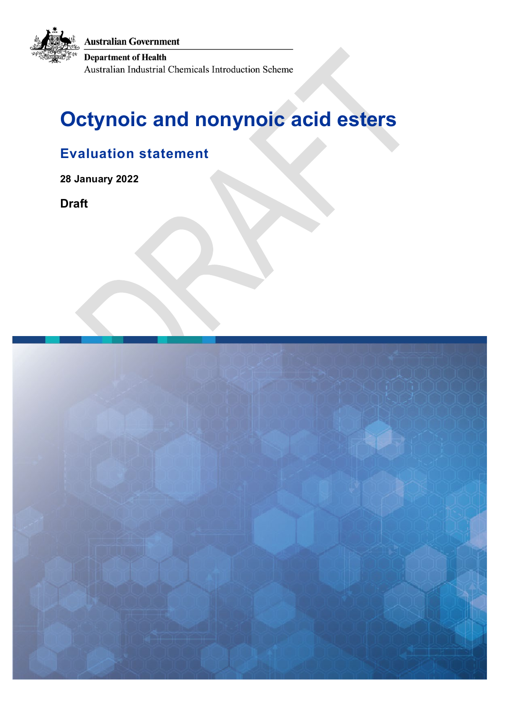**Australian Government** 

**Department of Health** 

Australian Industrial Chemicals Introduction Scheme

# **Octynoic and nonynoic acid esters**

# **Evaluation statement**

**28 January 2022**

**Draft**

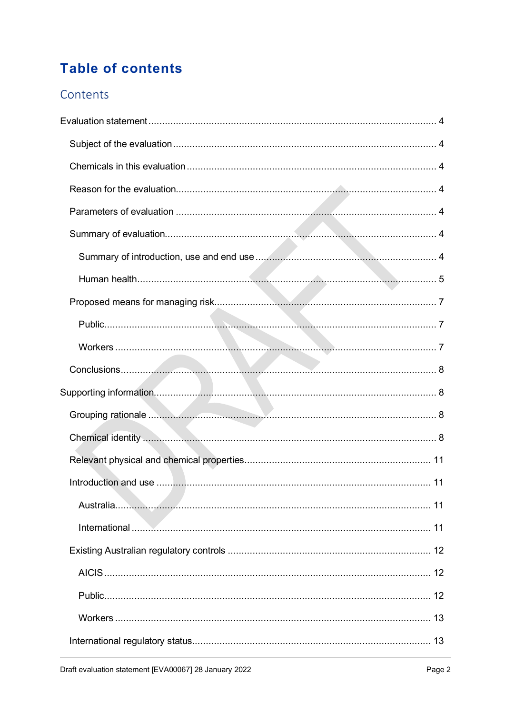# **Table of contents**

### Contents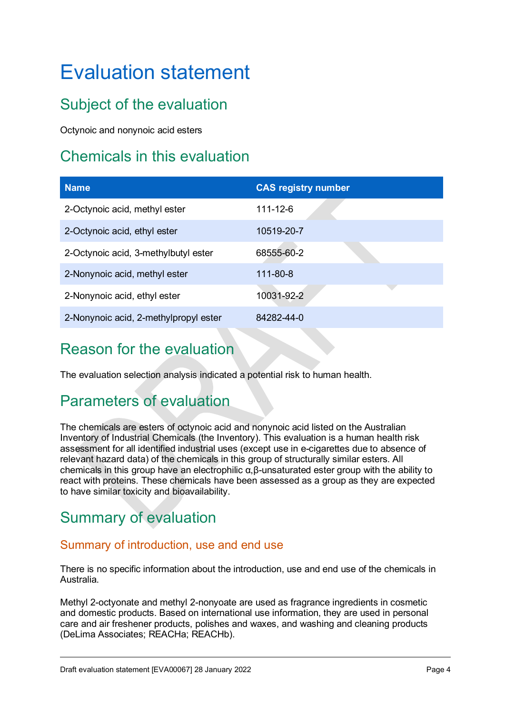# <span id="page-3-0"></span>Evaluation statement

# <span id="page-3-1"></span>Subject of the evaluation

Octynoic and nonynoic acid esters

# <span id="page-3-2"></span>Chemicals in this evaluation

| <b>Name</b>                           | <b>CAS registry number</b> |
|---------------------------------------|----------------------------|
| 2-Octynoic acid, methyl ester         | $111 - 12 - 6$             |
| 2-Octynoic acid, ethyl ester          | 10519-20-7                 |
| 2-Octynoic acid, 3-methylbutyl ester  | 68555-60-2                 |
| 2-Nonynoic acid, methyl ester         | 111-80-8                   |
| 2-Nonynoic acid, ethyl ester          | 10031-92-2                 |
| 2-Nonynoic acid, 2-methylpropyl ester | 84282-44-0                 |

# <span id="page-3-3"></span>Reason for the evaluation

The evaluation selection analysis indicated a potential risk to human health.

# <span id="page-3-4"></span>Parameters of evaluation

The chemicals are esters of octynoic acid and nonynoic acid listed on the Australian Inventory of Industrial Chemicals (the Inventory). This evaluation is a human health risk assessment for all identified industrial uses (except use in e-cigarettes due to absence of relevant hazard data) of the chemicals in this group of structurally similar esters. All chemicals in this group have an electrophilic α,β-unsaturated ester group with the ability to react with proteins. These chemicals have been assessed as a group as they are expected to have similar toxicity and bioavailability.

# <span id="page-3-5"></span>Summary of evaluation

### <span id="page-3-6"></span>Summary of introduction, use and end use

There is no specific information about the introduction, use and end use of the chemicals in Australia.

Methyl 2-octyonate and methyl 2-nonyoate are used as fragrance ingredients in cosmetic and domestic products. Based on international use information, they are used in personal care and air freshener products, polishes and waxes, and washing and cleaning products (DeLima Associates; REACHa; REACHb).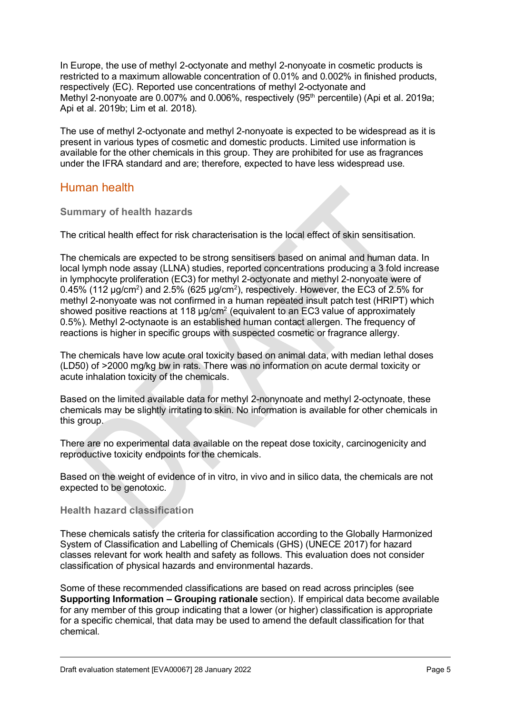In Europe, the use of methyl 2-octyonate and methyl 2-nonyoate in cosmetic products is restricted to a maximum allowable concentration of 0.01% and 0.002% in finished products, respectively (EC). Reported use concentrations of methyl 2-octyonate and Methyl 2-nonyoate are 0.007% and 0.006%, respectively (95<sup>th</sup> percentile) (Api et al. 2019a; Api et al. 2019b; Lim et al. 2018).

The use of methyl 2-octyonate and methyl 2-nonyoate is expected to be widespread as it is present in various types of cosmetic and domestic products. Limited use information is available for the other chemicals in this group. They are prohibited for use as fragrances under the IFRA standard and are; therefore, expected to have less widespread use.

### <span id="page-4-0"></span>Human health

#### **Summary of health hazards**

The critical health effect for risk characterisation is the local effect of skin sensitisation.

The chemicals are expected to be strong sensitisers based on animal and human data. In local lymph node assay (LLNA) studies, reported concentrations producing a 3 fold increase in lymphocyte proliferation (EC3) for methyl 2-octyonate and methyl 2-nonyoate were of 0.45% (112  $\mu$ g/cm<sup>2</sup>) and 2.5% (625  $\mu$ g/cm<sup>2</sup>), respectively. However, the EC3 of 2.5% for methyl 2-nonyoate was not confirmed in a human repeated insult patch test (HRIPT) which showed positive reactions at 118  $\mu$ g/cm<sup>2</sup> (equivalent to an EC3 value of approximately 0.5%). Methyl 2-octynaote is an established human contact allergen. The frequency of reactions is higher in specific groups with suspected cosmetic or fragrance allergy.

The chemicals have low acute oral toxicity based on animal data, with median lethal doses (LD50) of >2000 mg/kg bw in rats. There was no information on acute dermal toxicity or acute inhalation toxicity of the chemicals.

Based on the limited available data for methyl 2-nonynoate and methyl 2-octynoate, these chemicals may be slightly irritating to skin. No information is available for other chemicals in this group.

There are no experimental data available on the repeat dose toxicity, carcinogenicity and reproductive toxicity endpoints for the chemicals.

Based on the weight of evidence of in vitro, in vivo and in silico data, the chemicals are not expected to be genotoxic.

#### **Health hazard classification**

These chemicals satisfy the criteria for classification according to the Globally Harmonized System of Classification and Labelling of Chemicals (GHS) (UNECE 2017) for hazard classes relevant for work health and safety as follows. This evaluation does not consider classification of physical hazards and environmental hazards.

Some of these recommended classifications are based on read across principles (see **Supporting Information – Grouping rationale** section). If empirical data become available for any member of this group indicating that a lower (or higher) classification is appropriate for a specific chemical, that data may be used to amend the default classification for that chemical.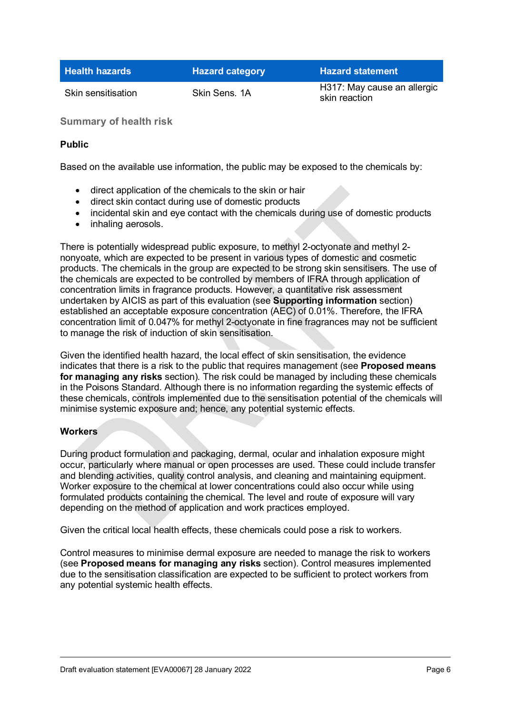| <b>Health hazards</b> | <b>Hazard category</b> | <b>Hazard statement</b>     |
|-----------------------|------------------------|-----------------------------|
| Skin sensitisation    | Skin Sens. 1A          | H317: May cause an allergic |

skin reaction

**Summary of health risk**

#### **Public**

Based on the available use information, the public may be exposed to the chemicals by:

- direct application of the chemicals to the skin or hair
- direct skin contact during use of domestic products
- incidental skin and eye contact with the chemicals during use of domestic products
- inhaling aerosols.

There is potentially widespread public exposure, to methyl 2-octyonate and methyl 2 nonyoate, which are expected to be present in various types of domestic and cosmetic products. The chemicals in the group are expected to be strong skin sensitisers. The use of the chemicals are expected to be controlled by members of IFRA through application of concentration limits in fragrance products. However, a quantitative risk assessment undertaken by AICIS as part of this evaluation (see **Supporting information** section) established an acceptable exposure concentration (AEC) of 0.01%. Therefore, the IFRA concentration limit of 0.047% for methyl 2-octyonate in fine fragrances may not be sufficient to manage the risk of induction of skin sensitisation.

Given the identified health hazard, the local effect of skin sensitisation, the evidence indicates that there is a risk to the public that requires management (see **Proposed means for managing any risks** section). The risk could be managed by including these chemicals in the Poisons Standard. Although there is no information regarding the systemic effects of these chemicals, controls implemented due to the sensitisation potential of the chemicals will minimise systemic exposure and; hence, any potential systemic effects.

#### **Workers**

During product formulation and packaging, dermal, ocular and inhalation exposure might occur, particularly where manual or open processes are used. These could include transfer and blending activities, quality control analysis, and cleaning and maintaining equipment. Worker exposure to the chemical at lower concentrations could also occur while using formulated products containing the chemical. The level and route of exposure will vary depending on the method of application and work practices employed.

Given the critical local health effects, these chemicals could pose a risk to workers.

Control measures to minimise dermal exposure are needed to manage the risk to workers (see **Proposed means for managing any risks** section). Control measures implemented due to the sensitisation classification are expected to be sufficient to protect workers from any potential systemic health effects.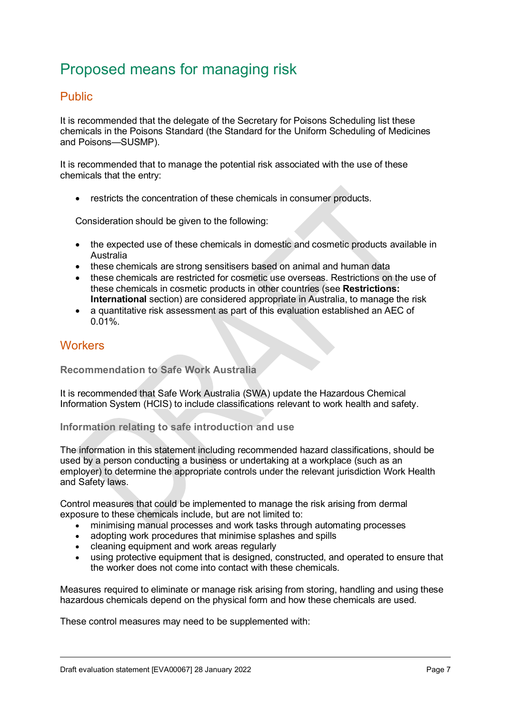# <span id="page-6-0"></span>Proposed means for managing risk

### <span id="page-6-1"></span>Public

It is recommended that the delegate of the Secretary for Poisons Scheduling list these chemicals in the Poisons Standard (the Standard for the Uniform Scheduling of Medicines and Poisons—SUSMP).

It is recommended that to manage the potential risk associated with the use of these chemicals that the entry:

• restricts the concentration of these chemicals in consumer products.

Consideration should be given to the following:

- the expected use of these chemicals in domestic and cosmetic products available in Australia
- these chemicals are strong sensitisers based on animal and human data
- these chemicals are restricted for cosmetic use overseas. Restrictions on the use of these chemicals in cosmetic products in other countries (see **Restrictions: International** section) are considered appropriate in Australia, to manage the risk
- a quantitative risk assessment as part of this evaluation established an AEC of 0.01%.

#### <span id="page-6-2"></span>**Workers**

#### **Recommendation to Safe Work Australia**

It is recommended that Safe Work Australia (SWA) update the Hazardous Chemical Information System (HCIS) to include classifications relevant to work health and safety.

#### **Information relating to safe introduction and use**

The information in this statement including recommended hazard classifications, should be used by a person conducting a business or undertaking at a workplace (such as an employer) to determine the appropriate controls under the relevant jurisdiction Work Health and Safety laws.

Control measures that could be implemented to manage the risk arising from dermal exposure to these chemicals include, but are not limited to:

- minimising manual processes and work tasks through automating processes
- adopting work procedures that minimise splashes and spills
- cleaning equipment and work areas regularly
- using protective equipment that is designed, constructed, and operated to ensure that the worker does not come into contact with these chemicals.

Measures required to eliminate or manage risk arising from storing, handling and using these hazardous chemicals depend on the physical form and how these chemicals are used.

These control measures may need to be supplemented with: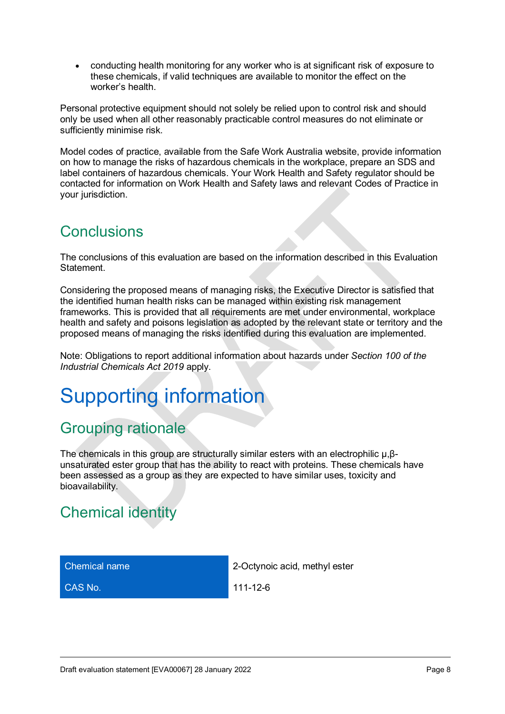• conducting health monitoring for any worker who is at significant risk of exposure to these chemicals, if valid techniques are available to monitor the effect on the worker's health.

Personal protective equipment should not solely be relied upon to control risk and should only be used when all other reasonably practicable control measures do not eliminate or sufficiently minimise risk.

Model codes of practice, available from the Safe Work Australia website, provide information on how to manage the risks of hazardous chemicals in the workplace, prepare an SDS and label containers of hazardous chemicals. Your Work Health and Safety regulator should be contacted for information on Work Health and Safety laws and relevant Codes of Practice in your jurisdiction.

# <span id="page-7-0"></span>**Conclusions**

The conclusions of this evaluation are based on the information described in this Evaluation **Statement** 

Considering the proposed means of managing risks, the Executive Director is satisfied that the identified human health risks can be managed within existing risk management frameworks. This is provided that all requirements are met under environmental, workplace health and safety and poisons legislation as adopted by the relevant state or territory and the proposed means of managing the risks identified during this evaluation are implemented.

Note: Obligations to report additional information about hazards under *Section 100 of the Industrial Chemicals Act 2019* apply.

# <span id="page-7-1"></span>Supporting information

# <span id="page-7-2"></span>Grouping rationale

The chemicals in this group are structurally similar esters with an electrophilic µ,βunsaturated ester group that has the ability to react with proteins. These chemicals have been assessed as a group as they are expected to have similar uses, toxicity and bioavailability.

# <span id="page-7-3"></span>Chemical identity

Chemical name 2-Octynoic acid, methyl ester

**CAS No.** 111-12-6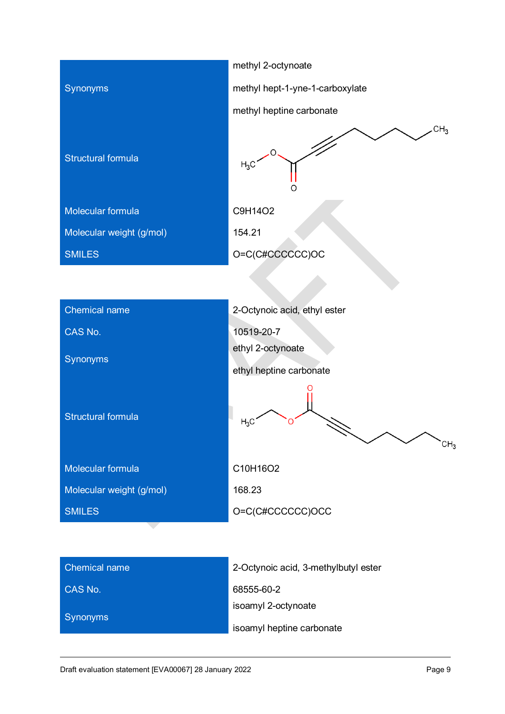|                           | methyl 2-octynoate                   |  |
|---------------------------|--------------------------------------|--|
| Synonyms                  | methyl hept-1-yne-1-carboxylate      |  |
|                           | methyl heptine carbonate             |  |
| <b>Structural formula</b> | CH <sub>3</sub><br>$H_3C$<br>∩       |  |
| Molecular formula         | C9H14O2                              |  |
| Molecular weight (g/mol)  | 154.21                               |  |
| <b>SMILES</b>             | O=C(C#CCCCCC)OC                      |  |
|                           |                                      |  |
| <b>Chemical name</b>      | 2-Octynoic acid, ethyl ester         |  |
| CAS No.                   |                                      |  |
|                           | 10519-20-7<br>ethyl 2-octynoate      |  |
| Synonyms                  | ethyl heptine carbonate              |  |
| <b>Structural formula</b> | $H_3C$<br>CH <sub>3</sub>            |  |
| Molecular formula         | C10H16O2                             |  |
| Molecular weight (g/mol)  | 168.23                               |  |
| <b>SMILES</b>             | O=C(C#CCCCCC)OCC                     |  |
|                           |                                      |  |
| <b>Chemical name</b>      | 2-Octynoic acid, 3-methylbutyl ester |  |
| CAS No.                   | 68555-60-2                           |  |
|                           | isoamyl 2-octynoate                  |  |

Synonyms

isoamyl heptine carbonate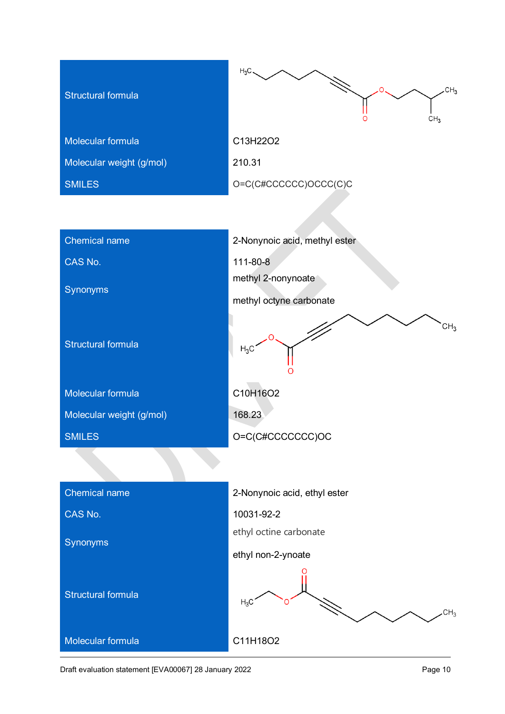| <b>Structural formula</b> | $H_3C$<br>CH <sub>3</sub><br>CH <sub>3</sub> |
|---------------------------|----------------------------------------------|
| Molecular formula         | C13H22O2                                     |
| Molecular weight (g/mol)  | 210.31                                       |
| <b>SMILES</b>             | O=C(C#CCCCCC)OCCC(C)C                        |
|                           |                                              |
| <b>Chemical name</b>      | 2-Nonynoic acid, methyl ester                |
| CAS No.                   | 111-80-8                                     |
| Synonyms                  | methyl 2-nonynoate                           |
|                           | methyl octyne carbonate                      |
| <b>Structural formula</b> | CH <sub>3</sub><br>$H_3C$                    |
| Molecular formula         | C10H16O2                                     |
| Molecular weight (g/mol)  | 168.23                                       |
| <b>SMILES</b>             | O=C(C#CCCCCCCC)OC                            |
|                           |                                              |
| <b>Chemical name</b>      | 2-Nonynoic acid, ethyl ester                 |
| CAS No.                   | 10031-92-2                                   |
| Synonyms                  | ethyl octine carbonate                       |
|                           | ethyl non-2-ynoate                           |
| <b>Structural formula</b> | $H_3C$<br>CH <sub>3</sub>                    |
| Molecular formula         | C11H18O2                                     |

Draft evaluation statement [EVA00067] 28 January 2022 **Page 10** Page 10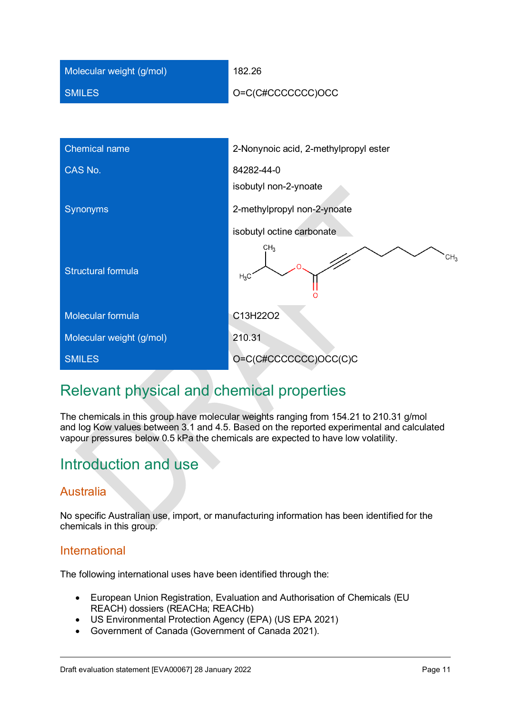| Molecular weight (g/mol)  | 182.26                                       |  |  |
|---------------------------|----------------------------------------------|--|--|
| <b>SMILES</b>             | O=C(C#CCCCCCC)OCC                            |  |  |
|                           |                                              |  |  |
| <b>Chemical name</b>      | 2-Nonynoic acid, 2-methylpropyl ester        |  |  |
| CAS No.                   | 84282-44-0                                   |  |  |
|                           | isobutyl non-2-ynoate                        |  |  |
| Synonyms                  | 2-methylpropyl non-2-ynoate                  |  |  |
|                           | isobutyl octine carbonate                    |  |  |
| <b>Structural formula</b> | CH <sub>3</sub><br>CH <sub>2</sub><br>$H_3C$ |  |  |
| Molecular formula         | C13H22O2                                     |  |  |
| Molecular weight (g/mol)  | 210.31                                       |  |  |
| <b>SMILES</b>             | O=C(C#CCCCCCC)OCC(C)C                        |  |  |

# <span id="page-10-0"></span>Relevant physical and chemical properties

The chemicals in this group have molecular weights ranging from 154.21 to 210.31 g/mol and log Kow values between 3.1 and 4.5. Based on the reported experimental and calculated vapour pressures below 0.5 kPa the chemicals are expected to have low volatility.

# <span id="page-10-1"></span>Introduction and use

### <span id="page-10-2"></span>Australia

No specific Australian use, import, or manufacturing information has been identified for the chemicals in this group.

### <span id="page-10-3"></span>International

The following international uses have been identified through the:

- European Union Registration, Evaluation and Authorisation of Chemicals (EU REACH) dossiers (REACHa; REACHb)
- US Environmental Protection Agency (EPA) (US EPA 2021)
- Government of Canada (Government of Canada 2021).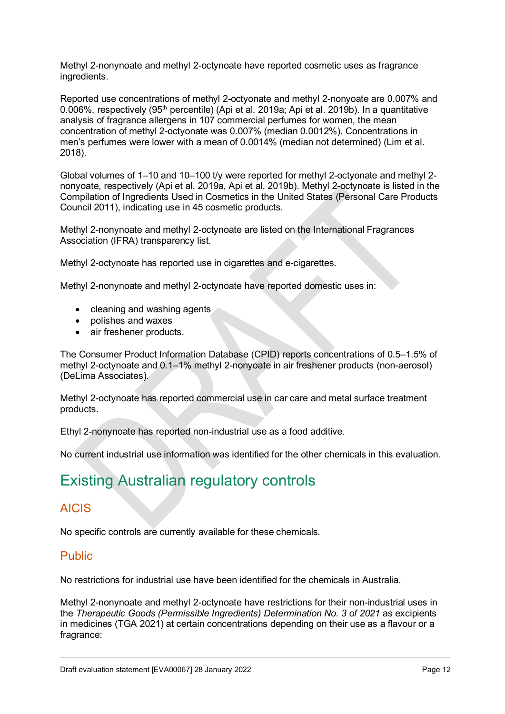Methyl 2-nonynoate and methyl 2-octynoate have reported cosmetic uses as fragrance ingredients.

Reported use concentrations of methyl 2-octyonate and methyl 2-nonyoate are 0.007% and 0.006%, respectively (95<sup>th</sup> percentile) (Api et al. 2019a; Api et al. 2019b). In a quantitative analysis of fragrance allergens in 107 commercial perfumes for women, the mean concentration of methyl 2-octyonate was 0.007% (median 0.0012%). Concentrations in men's perfumes were lower with a mean of 0.0014% (median not determined) (Lim et al. 2018).

Global volumes of 1–10 and 10–100 t/y were reported for methyl 2-octyonate and methyl 2 nonyoate, respectively (Api et al. 2019a, Api et al. 2019b). Methyl 2-octynoate is listed in the Compilation of Ingredients Used in Cosmetics in the United States (Personal Care Products Council 2011), indicating use in 45 cosmetic products.

Methyl 2-nonynoate and methyl 2-octynoate are listed on the International Fragrances Association (IFRA) transparency list.

Methyl 2-octynoate has reported use in cigarettes and e-cigarettes.

Methyl 2-nonynoate and methyl 2-octynoate have reported domestic uses in:

- cleaning and washing agents
- polishes and waxes
- air freshener products.

The Consumer Product Information Database (CPID) reports concentrations of 0.5–1.5% of methyl 2-octynoate and 0.1–1% methyl 2-nonyoate in air freshener products (non-aerosol) (DeLima Associates).

Methyl 2-octynoate has reported commercial use in car care and metal surface treatment products.

Ethyl 2-nonynoate has reported non-industrial use as a food additive.

No current industrial use information was identified for the other chemicals in this evaluation.

# <span id="page-11-0"></span>Existing Australian regulatory controls

### <span id="page-11-1"></span>AICIS

No specific controls are currently available for these chemicals.

### <span id="page-11-2"></span>Public

No restrictions for industrial use have been identified for the chemicals in Australia.

Methyl 2-nonynoate and methyl 2-octynoate have restrictions for their non-industrial uses in the *Therapeutic Goods (Permissible Ingredients) Determination No. 3 of 2021* as excipients in medicines (TGA 2021) at certain concentrations depending on their use as a flavour or a fragrance: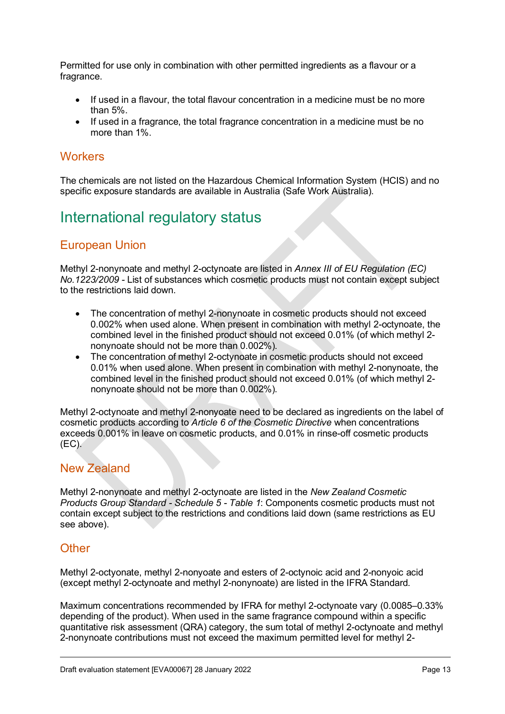Permitted for use only in combination with other permitted ingredients as a flavour or a fragrance.

- If used in a flavour, the total flavour concentration in a medicine must be no more than 5%.
- If used in a fragrance, the total fragrance concentration in a medicine must be no more than 1%.

#### <span id="page-12-0"></span>**Workers**

The chemicals are not listed on the Hazardous Chemical Information System (HCIS) and no specific exposure standards are available in Australia (Safe Work Australia).

# <span id="page-12-1"></span>International regulatory status

### <span id="page-12-2"></span>European Union

Methyl 2-nonynoate and methyl 2-octynoate are listed in *Annex III of EU Regulation (EC) No.1223/2009 -* List of substances which cosmetic products must not contain except subject to the restrictions laid down.

- The concentration of methyl 2-nonynoate in cosmetic products should not exceed 0.002% when used alone. When present in combination with methyl 2-octynoate, the combined level in the finished product should not exceed 0.01% (of which methyl 2 nonynoate should not be more than 0.002%).
- The concentration of methyl 2-octynoate in cosmetic products should not exceed 0.01% when used alone. When present in combination with methyl 2-nonynoate, the combined level in the finished product should not exceed 0.01% (of which methyl 2 nonynoate should not be more than 0.002%).

Methyl 2-octynoate and methyl 2-nonyoate need to be declared as ingredients on the label of cosmetic products according to *Article 6 of the Cosmetic Directive* when concentrations exceeds 0.001% in leave on cosmetic products, and 0.01% in rinse-off cosmetic products (EC).

### <span id="page-12-3"></span>New Zealand

Methyl 2-nonynoate and methyl 2-octynoate are listed in the *New Zealand Cosmetic Products Group Standard - Schedule 5 - Table 1*: Components cosmetic products must not contain except subject to the restrictions and conditions laid down (same restrictions as EU see above).

### <span id="page-12-4"></span>**Other**

Methyl 2-octyonate, methyl 2-nonyoate and esters of 2-octynoic acid and 2-nonyoic acid (except methyl 2-octynoate and methyl 2-nonynoate) are listed in the IFRA Standard.

Maximum concentrations recommended by IFRA for methyl 2-octynoate vary (0.0085–0.33% depending of the product). When used in the same fragrance compound within a specific quantitative risk assessment (QRA) category, the sum total of methyl 2-octynoate and methyl 2-nonynoate contributions must not exceed the maximum permitted level for methyl 2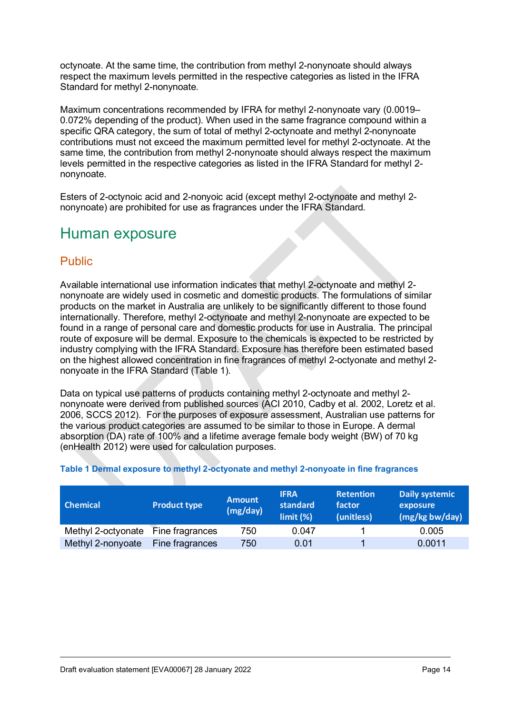octynoate. At the same time, the contribution from methyl 2-nonynoate should always respect the maximum levels permitted in the respective categories as listed in the IFRA Standard for methyl 2-nonynoate.

Maximum concentrations recommended by IFRA for methyl 2-nonynoate vary (0.0019– 0.072% depending of the product). When used in the same fragrance compound within a specific QRA category, the sum of total of methyl 2-octynoate and methyl 2-nonynoate contributions must not exceed the maximum permitted level for methyl 2-octynoate. At the same time, the contribution from methyl 2-nonynoate should always respect the maximum levels permitted in the respective categories as listed in the IFRA Standard for methyl 2 nonynoate.

Esters of 2-octynoic acid and 2-nonyoic acid (except methyl 2-octynoate and methyl 2 nonynoate) are prohibited for use as fragrances under the IFRA Standard.

# <span id="page-13-0"></span>Human exposure

### <span id="page-13-1"></span>Public

Available international use information indicates that methyl 2-octynoate and methyl 2nonynoate are widely used in cosmetic and domestic products. The formulations of similar products on the market in Australia are unlikely to be significantly different to those found internationally. Therefore, methyl 2-octynoate and methyl 2-nonynoate are expected to be found in a range of personal care and domestic products for use in Australia. The principal route of exposure will be dermal. Exposure to the chemicals is expected to be restricted by industry complying with the IFRA Standard. Exposure has therefore been estimated based on the highest allowed concentration in fine fragrances of methyl 2-octyonate and methyl 2 nonyoate in the IFRA Standard (Table 1).

Data on typical use patterns of products containing methyl 2-octynoate and methyl 2 nonynoate were derived from published sources (ACI 2010, Cadby et al. 2002, Loretz et al. 2006, SCCS 2012). For the purposes of exposure assessment, Australian use patterns for the various product categories are assumed to be similar to those in Europe. A dermal absorption (DA) rate of 100% and a lifetime average female body weight (BW) of 70 kg (enHealth 2012) were used for calculation purposes.

| <b>Chemical</b>                    | <b>Product type</b> | <b>Amount</b><br>(mg/day) | <b>IFRA</b><br>standard<br>limit (%) | <b>Retention</b><br>factor<br>(unitless) | <b>Daily systemic</b><br>exposure<br>(mg/kg bw/day) |
|------------------------------------|---------------------|---------------------------|--------------------------------------|------------------------------------------|-----------------------------------------------------|
| Methyl 2-octyonate Fine fragrances |                     | 750                       | 0.047                                |                                          | 0.005                                               |
| Methyl 2-nonyoate                  | Fine fragrances     | 750                       | 0.01                                 |                                          | 0.0011                                              |

#### **Table 1 Dermal exposure to methyl 2-octyonate and methyl 2-nonyoate in fine fragrances**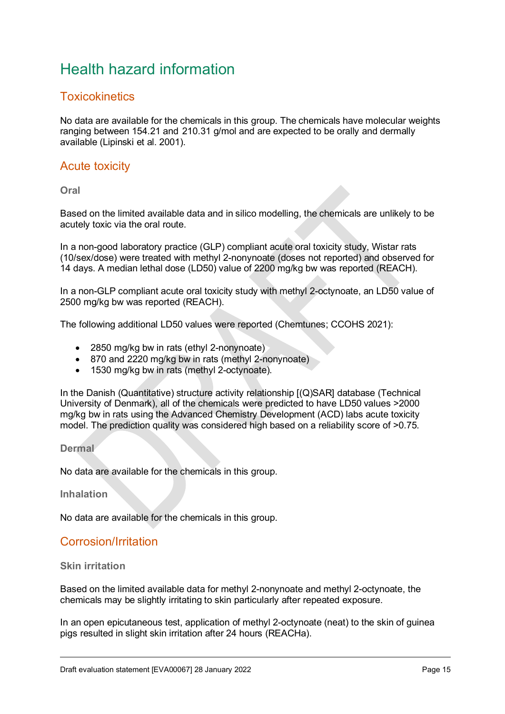# <span id="page-14-0"></span>Health hazard information

### <span id="page-14-1"></span>**Toxicokinetics**

No data are available for the chemicals in this group. The chemicals have molecular weights ranging between 154.21 and 210.31 g/mol and are expected to be orally and dermally available (Lipinski et al. 2001).

### <span id="page-14-2"></span>Acute toxicity

**Oral**

Based on the limited available data and in silico modelling, the chemicals are unlikely to be acutely toxic via the oral route.

In a non-good laboratory practice (GLP) compliant acute oral toxicity study, Wistar rats (10/sex/dose) were treated with methyl 2-nonynoate (doses not reported) and observed for 14 days. A median lethal dose (LD50) value of 2200 mg/kg bw was reported (REACH).

In a non-GLP compliant acute oral toxicity study with methyl 2-octynoate, an LD50 value of 2500 mg/kg bw was reported (REACH).

The following additional LD50 values were reported (Chemtunes; CCOHS 2021):

- 2850 mg/kg bw in rats (ethyl 2-nonynoate)
- 870 and 2220 mg/kg bw in rats (methyl 2-nonynoate)
- 1530 mg/kg bw in rats (methyl 2-octynoate).

In the Danish (Quantitative) structure activity relationship [(Q)SAR] database (Technical University of Denmark), all of the chemicals were predicted to have LD50 values >2000 mg/kg bw in rats using the Advanced Chemistry Development (ACD) labs acute toxicity model. The prediction quality was considered high based on a reliability score of >0.75.

#### **Dermal**

No data are available for the chemicals in this group.

**Inhalation**

No data are available for the chemicals in this group.

### <span id="page-14-3"></span>Corrosion/Irritation

#### **Skin irritation**

Based on the limited available data for methyl 2-nonynoate and methyl 2-octynoate, the chemicals may be slightly irritating to skin particularly after repeated exposure.

In an open epicutaneous test, application of methyl 2-octynoate (neat) to the skin of guinea pigs resulted in slight skin irritation after 24 hours (REACHa).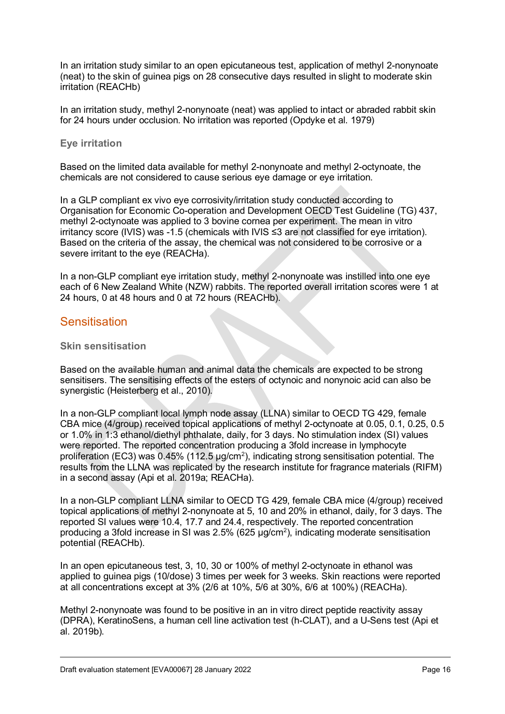In an irritation study similar to an open epicutaneous test, application of methyl 2-nonynoate (neat) to the skin of guinea pigs on 28 consecutive days resulted in slight to moderate skin irritation (REACHb)

In an irritation study, methyl 2-nonynoate (neat) was applied to intact or abraded rabbit skin for 24 hours under occlusion. No irritation was reported (Opdyke et al. 1979)

#### **Eye irritation**

Based on the limited data available for methyl 2-nonynoate and methyl 2-octynoate, the chemicals are not considered to cause serious eye damage or eye irritation.

In a GLP compliant ex vivo eye corrosivity/irritation study conducted according to Organisation for Economic Co-operation and Development OECD Test Guideline (TG) 437, methyl 2-octynoate was applied to 3 bovine cornea per experiment. The mean in vitro irritancy score (IVIS) was -1.5 (chemicals with IVIS ≤3 are not classified for eye irritation). Based on the criteria of the assay, the chemical was not considered to be corrosive or a severe irritant to the eye (REACHa).

In a non-GLP compliant eye irritation study, methyl 2-nonynoate was instilled into one eye each of 6 New Zealand White (NZW) rabbits. The reported overall irritation scores were 1 at 24 hours, 0 at 48 hours and 0 at 72 hours (REACHb).

#### <span id="page-15-0"></span>**Sensitisation**

#### **Skin sensitisation**

Based on the available human and animal data the chemicals are expected to be strong sensitisers. The sensitising effects of the esters of octynoic and nonynoic acid can also be synergistic (Heisterberg et al., 2010).

In a non-GLP compliant local lymph node assay (LLNA) similar to OECD TG 429, female CBA mice (4/group) received topical applications of methyl 2-octynoate at 0.05, 0.1, 0.25, 0.5 or 1.0% in 1:3 ethanol/diethyl phthalate, daily, for 3 days. No stimulation index (SI) values were reported. The reported concentration producing a 3fold increase in lymphocyte proliferation (EC3) was 0.45% (112.5 μg/cm2), indicating strong sensitisation potential. The results from the LLNA was replicated by the research institute for fragrance materials (RIFM) in a second assay (Api et al. 2019a; REACHa).

In a non-GLP compliant LLNA similar to OECD TG 429, female CBA mice (4/group) received topical applications of methyl 2-nonynoate at 5, 10 and 20% in ethanol, daily, for 3 days. The reported SI values were 10.4, 17.7 and 24.4, respectively. The reported concentration producing a 3fold increase in SI was 2.5% (625 μg/cm2), indicating moderate sensitisation potential (REACHb).

In an open epicutaneous test, 3, 10, 30 or 100% of methyl 2-octynoate in ethanol was applied to guinea pigs (10/dose) 3 times per week for 3 weeks. Skin reactions were reported at all concentrations except at 3% (2/6 at 10%, 5/6 at 30%, 6/6 at 100%) (REACHa).

Methyl 2-nonynoate was found to be positive in an in vitro direct peptide reactivity assay (DPRA), KeratinoSens, a human cell line activation test (h-CLAT), and a U-Sens test (Api et al. 2019b).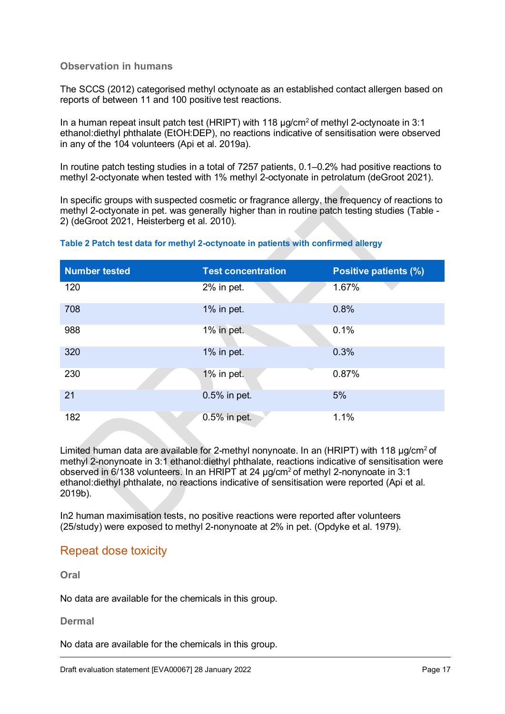#### **Observation in humans**

The SCCS (2012) categorised methyl octynoate as an established contact allergen based on reports of between 11 and 100 positive test reactions.

In a human repeat insult patch test (HRIPT) with 118 μg/cm<sup>2</sup> of methyl 2-octynoate in 3:1 ethanol:diethyl phthalate (EtOH:DEP), no reactions indicative of sensitisation were observed in any of the 104 volunteers (Api et al. 2019a).

In routine patch testing studies in a total of 7257 patients, 0.1–0.2% had positive reactions to methyl 2-octyonate when tested with 1% methyl 2-octyonate in petrolatum (deGroot 2021).

In specific groups with suspected cosmetic or fragrance allergy, the frequency of reactions to methyl 2-octyonate in pet. was generally higher than in routine patch testing studies (Table - 2) (deGroot 2021, Heisterberg et al. 2010).

#### **Table 2 Patch test data for methyl 2-octynoate in patients with confirmed allergy**

| <b>Number tested</b> | <b>Test concentration</b> | <b>Positive patients (%)</b> |
|----------------------|---------------------------|------------------------------|
| 120                  | 2% in pet.                | 1.67%                        |
| 708                  | 1% in pet.                | 0.8%                         |
| 988                  | 1% in pet.                | 0.1%                         |
| 320                  | 1% in pet.                | 0.3%                         |
| 230                  | 1% in pet.                | 0.87%                        |
| 21                   | 0.5% in pet.              | 5%                           |
| 182                  | 0.5% in pet.              | 1.1%                         |

Limited human data are available for 2-methyl nonynoate. In an (HRIPT) with 118 μg/cm<sup>2</sup> of methyl 2-nonynoate in 3:1 ethanol:diethyl phthalate, reactions indicative of sensitisation were observed in 6/138 volunteers. In an HRIPT at 24 μg/cm<sup>2</sup> of methyl 2-nonynoate in 3:1 ethanol:diethyl phthalate, no reactions indicative of sensitisation were reported (Api et al. 2019b).

In2 human maximisation tests, no positive reactions were reported after volunteers (25/study) were exposed to methyl 2-nonynoate at 2% in pet. (Opdyke et al. 1979).

#### <span id="page-16-0"></span>Repeat dose toxicity

**Oral**

No data are available for the chemicals in this group.

#### **Dermal**

No data are available for the chemicals in this group.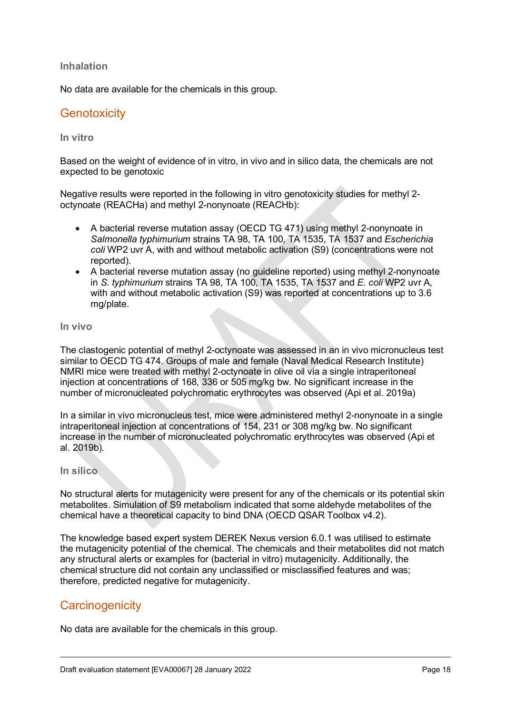#### **Inhalation**

No data are available for the chemicals in this group.

### <span id="page-17-0"></span>**Genotoxicity**

#### **In vitro**

Based on the weight of evidence of in vitro, in vivo and in silico data, the chemicals are not expected to be genotoxic

Negative results were reported in the following in vitro genotoxicity studies for methyl 2 octynoate (REACHa) and methyl 2-nonynoate (REACHb):

- A bacterial reverse mutation assay (OECD TG 471) using methyl 2-nonynoate in *Salmonella typhimurium* strains TA 98, TA 100, TA 1535, TA 1537 and *Escherichia coli* WP2 uvr A, with and without metabolic activation (S9) (concentrations were not reported).
- A bacterial reverse mutation assay (no guideline reported) using methyl 2-nonynoate in *S. typhimurium* strains TA 98, TA 100, TA 1535, TA 1537 and *E. coli* WP2 uvr A, with and without metabolic activation (S9) was reported at concentrations up to 3.6 mg/plate.

**In vivo**

The clastogenic potential of methyl 2-octynoate was assessed in an in vivo micronucleus test similar to OECD TG 474. Groups of male and female (Naval Medical Research Institute) NMRI mice were treated with methyl 2-octynoate in olive oil via a single intraperitoneal injection at concentrations of 168, 336 or 505 mg/kg bw. No significant increase in the number of micronucleated polychromatic erythrocytes was observed (Api et al. 2019a)

In a similar in vivo micronucleus test, mice were administered methyl 2-nonynoate in a single intraperitoneal injection at concentrations of 154, 231 or 308 mg/kg bw. No significant increase in the number of micronucleated polychromatic erythrocytes was observed (Api et al. 2019b).

#### **In silico**

No structural alerts for mutagenicity were present for any of the chemicals or its potential skin metabolites. Simulation of S9 metabolism indicated that some aldehyde metabolites of the chemical have a theoretical capacity to bind DNA (OECD QSAR Toolbox v4.2).

The knowledge based expert system DEREK Nexus version 6.0.1 was utilised to estimate the mutagenicity potential of the chemical. The chemicals and their metabolites did not match any structural alerts or examples for (bacterial in vitro) mutagenicity. Additionally, the chemical structure did not contain any unclassified or misclassified features and was; therefore, predicted negative for mutagenicity.

### <span id="page-17-1"></span>**Carcinogenicity**

No data are available for the chemicals in this group.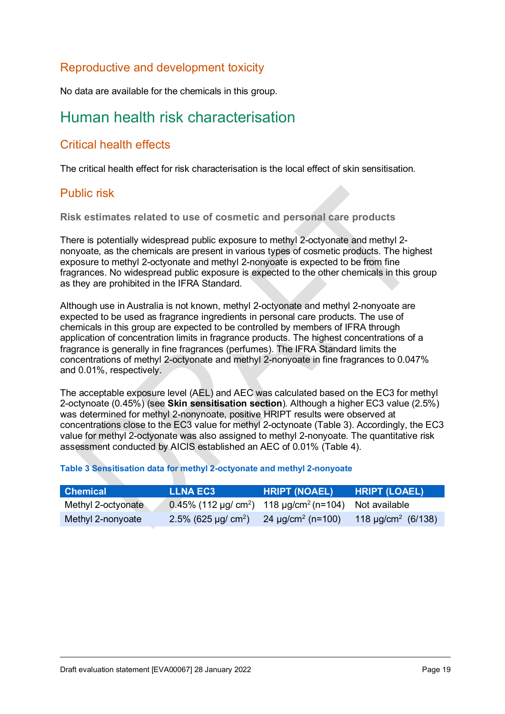### <span id="page-18-0"></span>Reproductive and development toxicity

No data are available for the chemicals in this group.

## <span id="page-18-1"></span>Human health risk characterisation

### <span id="page-18-2"></span>Critical health effects

The critical health effect for risk characterisation is the local effect of skin sensitisation.

### <span id="page-18-3"></span>Public risk

**Risk estimates related to use of cosmetic and personal care products**

There is potentially widespread public exposure to methyl 2-octyonate and methyl 2 nonyoate, as the chemicals are present in various types of cosmetic products. The highest exposure to methyl 2-octyonate and methyl 2-nonyoate is expected to be from fine fragrances. No widespread public exposure is expected to the other chemicals in this group as they are prohibited in the IFRA Standard.

Although use in Australia is not known, methyl 2-octyonate and methyl 2-nonyoate are expected to be used as fragrance ingredients in personal care products. The use of chemicals in this group are expected to be controlled by members of IFRA through application of concentration limits in fragrance products. The highest concentrations of a fragrance is generally in fine fragrances (perfumes). The IFRA Standard limits the concentrations of methyl 2-octyonate and methyl 2-nonyoate in fine fragrances to 0.047% and 0.01%, respectively.

The acceptable exposure level (AEL) and AEC was calculated based on the EC3 for methyl 2-octynoate (0.45%) (see **Skin sensitisation section**). Although a higher EC3 value (2.5%) was determined for methyl 2-nonynoate, positive HRIPT results were observed at concentrations close to the EC3 value for methyl 2-octynoate (Table 3). Accordingly, the EC3 value for methyl 2-octyonate was also assigned to methyl 2-nonyoate. The quantitative risk assessment conducted by AICIS established an AEC of 0.01% (Table 4).

#### **Table 3 Sensitisation data for methyl 2-octyonate and methyl 2-nonyoate**

| <b>Chemical</b>    | <b>LLNA EC3</b>                                                               | <b>HRIPT (NOAEL)</b>               | <b>HRIPT (LOAEL)</b>                |
|--------------------|-------------------------------------------------------------------------------|------------------------------------|-------------------------------------|
| Methyl 2-octyonate | 0.45% (112 µg/ cm <sup>2</sup> ) 118 µg/cm <sup>2</sup> (n=104) Not available |                                    |                                     |
| Methyl 2-nonyoate  | 2.5% (625 µg/ cm <sup>2</sup> )                                               | 24 $\mu$ g/cm <sup>2</sup> (n=100) | 118 $\mu$ g/cm <sup>2</sup> (6/138) |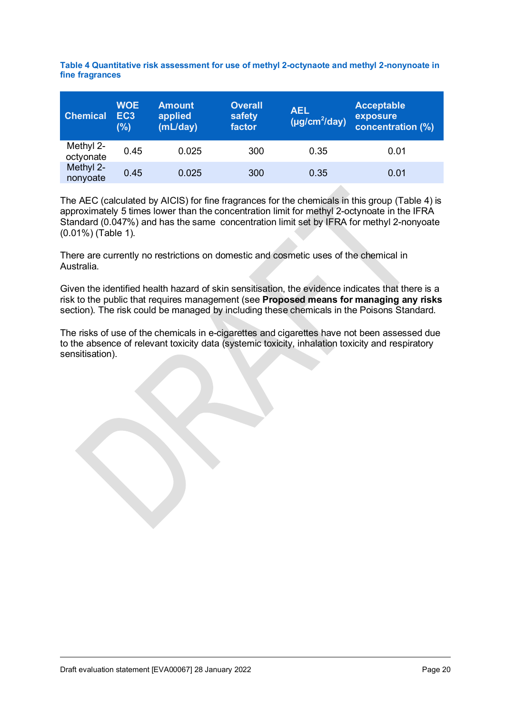| <b>Chemical</b>        | <b>WOE</b><br>EC <sub>3</sub><br>(%) | <b>Amount</b><br>applied<br>(mL/day) | <b>Overall</b><br>safety<br>factor | <b>AEL</b><br>$(\mu g/cm^2/day)$ | <b>Acceptable</b><br>exposure<br>concentration (%) |
|------------------------|--------------------------------------|--------------------------------------|------------------------------------|----------------------------------|----------------------------------------------------|
| Methyl 2-<br>octyonate | 0.45                                 | 0.025                                | 300                                | 0.35                             | 0.01                                               |
| Methyl 2-<br>nonyoate  | 0.45                                 | 0.025                                | 300                                | 0.35                             | 0.01                                               |

**Table 4 Quantitative risk assessment for use of methyl 2-octynaote and methyl 2-nonynoate in fine fragrances**

The AEC (calculated by AICIS) for fine fragrances for the chemicals in this group (Table 4) is approximately 5 times lower than the concentration limit for methyl 2-octynoate in the IFRA Standard (0.047%) and has the same concentration limit set by IFRA for methyl 2-nonyoate (0.01%) (Table 1).

There are currently no restrictions on domestic and cosmetic uses of the chemical in Australia.

Given the identified health hazard of skin sensitisation, the evidence indicates that there is a risk to the public that requires management (see **Proposed means for managing any risks** section). The risk could be managed by including these chemicals in the Poisons Standard.

The risks of use of the chemicals in e-cigarettes and cigarettes have not been assessed due to the absence of relevant toxicity data (systemic toxicity, inhalation toxicity and respiratory sensitisation).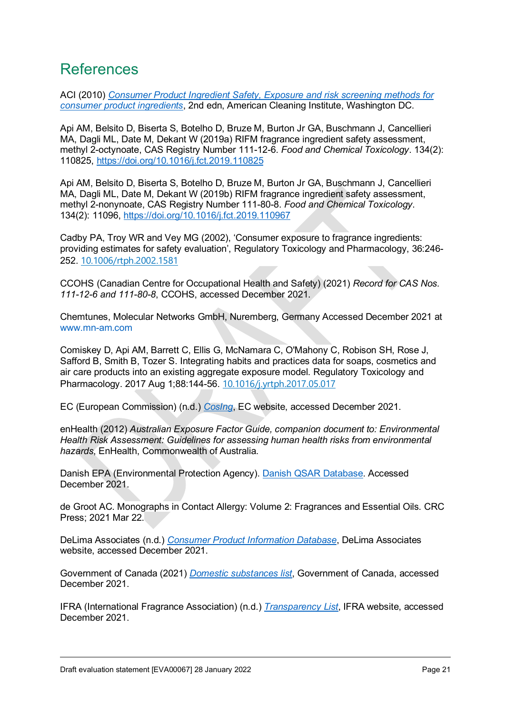## <span id="page-20-0"></span>References

ACI (2010) *[Consumer Product Ingredient Safety, Exposure and risk screening methods for](https://www.cleaninginstitute.org/sites/default/files/documents/Consumer_Product_Ingredient_Safety_v2.0.pdf)  [consumer product ingredients](https://www.cleaninginstitute.org/sites/default/files/documents/Consumer_Product_Ingredient_Safety_v2.0.pdf)*, 2nd edn, American Cleaning Institute, Washington DC.

Api AM, Belsito D, Biserta S, Botelho D, Bruze M, Burton Jr GA, Buschmann J, Cancellieri MA, Dagli ML, Date M, Dekant W (2019a) RIFM fragrance ingredient safety assessment, methyl 2-octynoate, CAS Registry Number 111-12-6. *Food and Chemical Toxicology*. 134(2): 110825,<https://doi.org/10.1016/j.fct.2019.110825>

Api AM, Belsito D, Biserta S, Botelho D, Bruze M, Burton Jr GA, Buschmann J, Cancellieri MA, Dagli ML, Date M, Dekant W (2019b) RIFM fragrance ingredient safety assessment, methyl 2-nonynoate, CAS Registry Number 111-80-8. *Food and Chemical Toxicology*. 134(2): 11096,<https://doi.org/10.1016/j.fct.2019.110967>

Cadby PA, Troy WR and Vey MG (2002), 'Consumer exposure to fragrance ingredients: providing estimates for safety evaluation', Regulatory Toxicology and Pharmacology, 36:246- 252. [10.1006/rtph.2002.1581](https://doi.org/10.1006/rtph.2002.1581)

CCOHS (Canadian Centre for Occupational Health and Safety) (2021) *Record for CAS Nos. 111-12-6 and 111-80-8*, CCOHS, accessed December 2021.

Chemtunes, Molecular Networks GmbH, Nuremberg, Germany Accessed December 2021 at [www.mn-am.com](http://www.mn-am.com/)

Comiskey D, Api AM, Barrett C, Ellis G, McNamara C, O'Mahony C, Robison SH, Rose J, Safford B, Smith B, Tozer S. Integrating habits and practices data for soaps, cosmetics and air care products into an existing aggregate exposure model. Regulatory Toxicology and Pharmacology. 2017 Aug 1;88:144-56. [10.1016/j.yrtph.2017.05.017](https://doi.org/10.1016/j.yrtph.2017.05.017)

EC (European Commission) (n.d.) *[CosIng](https://ec.europa.eu/growth/tools-databases/cosing/index.cfm?fuseaction=search.simple)*, EC website, accessed December 2021.

enHealth (2012) *Australian Exposure Factor Guide, companion document to: Environmental Health Risk Assessment: Guidelines for assessing human health risks from environmental hazards*, EnHealth, Commonwealth of Australia.

Danish EPA (Environmental Protection Agency). [Danish QSAR Database.](https://qsar.food.dtu.dk/) Accessed December 2021.

de Groot AC. Monographs in Contact Allergy: Volume 2: Fragrances and Essential Oils. CRC Press; 2021 Mar 22.

DeLima Associates (n.d.) *[Consumer Product Information Database](https://www.whatsinproducts.com/)*, DeLima Associates website, accessed December 2021.

Government of Canada (2021) *[Domestic substances list](https://www.canada.ca/en/environment-climate-change/services/canadian-environmental-protection-act-registry/substances-list/domestic.html)*, Government of Canada, accessed December 2021.

IFRA (International Fragrance Association) (n.d.) *[Transparency List](https://ifrafragrance.org/priorities/ingredients/ifra-transparency-list)*, IFRA website, accessed December 2021.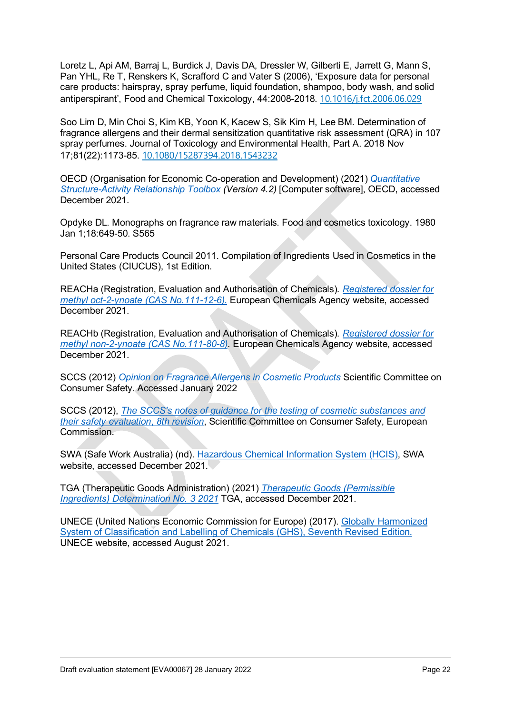Loretz L, Api AM, Barraj L, Burdick J, Davis DA, Dressler W, Gilberti E, Jarrett G, Mann S, Pan YHL, Re T, Renskers K, Scrafford C and Vater S (2006), 'Exposure data for personal care products: hairspray, spray perfume, liquid foundation, shampoo, body wash, and solid antiperspirant', Food and Chemical Toxicology, 44:2008-2018. [10.1016/j.fct.2006.06.029](https://doi.org/10.1016/j.fct.2006.06.029)

Soo Lim D, Min Choi S, Kim KB, Yoon K, Kacew S, Sik Kim H, Lee BM. Determination of fragrance allergens and their dermal sensitization quantitative risk assessment (QRA) in 107 spray perfumes. Journal of Toxicology and Environmental Health, Part A. 2018 Nov 17;81(22):1173-85. [10.1080/15287394.2018.1543232](https://doi.org/10.1080/15287394.2018.1543232)

OECD (Organisation for Economic Co-operation and Development) (2021) *[Quantitative](https://www.oecd.org/chemicalsafety/risk-assessment/oecd-qsar-toolbox.htm)  [Structure-Activity Relationship Toolbox](https://www.oecd.org/chemicalsafety/risk-assessment/oecd-qsar-toolbox.htm) (Version 4.2)* [Computer software], OECD, accessed December 2021.

Opdyke DL. Monographs on fragrance raw materials. Food and cosmetics toxicology. 1980 Jan 1;18:649-50. S565

Personal Care Products Council 2011. Compilation of Ingredients Used in Cosmetics in the United States (CIUCUS), 1st Edition.

REACHa (Registration, Evaluation and Authorisation of Chemicals). *[Registered dossier for](https://echa.europa.eu/registration-dossier/-/registered-dossier/19616)  methyl oct-2-ynoate [\(CAS No.111-12-6\).](https://echa.europa.eu/registration-dossier/-/registered-dossier/19616)* European Chemicals Agency website, accessed December 2021.

REACHb (Registration, Evaluation and Authorisation of Chemicals). *[Registered dossier for](https://echa.europa.eu/registration-dossier/-/registered-dossier/18707)  [methyl non-2-ynoate \(CAS No.111-80-8\).](https://echa.europa.eu/registration-dossier/-/registered-dossier/18707)* European Chemicals Agency website, accessed December 2021.

SCCS (2012) *[Opinion on Fragrance Allergens in Cosmetic Products](https://ec.europa.eu/health/scientific_committees/consumer_safety/docs/sccs_o_102.pdf)* Scientific Committee on Consumer Safety. Accessed January 2022

SCCS (2012), *[The SCCS's notes of guidance for the testing of cosmetic substances and](https://ec.europa.eu/health/scientific_committees/consumer_safety/docs/sccs_s_006.pdf)  [their safety evaluation](https://ec.europa.eu/health/scientific_committees/consumer_safety/docs/sccs_s_006.pdf)*, *8th revision*, Scientific Committee on Consumer Safety, European Commission.

SWA (Safe Work Australia) (nd). [Hazardous Chemical Information System \(HCIS\),](http://hcis.safeworkaustralia.gov.au/HazardousChemical) SWA website, accessed December 2021.

TGA (Therapeutic Goods Administration) (2021) *[Therapeutic Goods \(Permissible](https://www.legislation.gov.au/Series/F2022L00031)  [Ingredients\) Determination No. 3 2021](https://www.legislation.gov.au/Series/F2022L00031)* TGA, accessed December 2021.

UNECE (United Nations Economic Commission for Europe) (2017). [Globally Harmonized](https://unece.org/ghs-rev7-2017)  [System of Classification and Labelling of Chemicals \(GHS\), Seventh Revised Edition.](https://unece.org/ghs-rev7-2017) UNECE website, accessed August 2021.